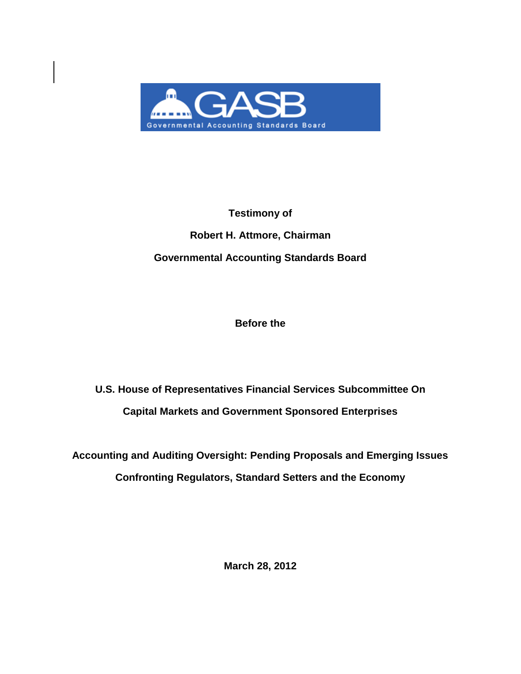

# **Testimony of Robert H. Attmore, Chairman Governmental Accounting Standards Board**

**Before the**

**U.S. House of Representatives Financial Services Subcommittee On Capital Markets and Government Sponsored Enterprises** 

**Accounting and Auditing Oversight: Pending Proposals and Emerging Issues Confronting Regulators, Standard Setters and the Economy**

**March 28, 2012**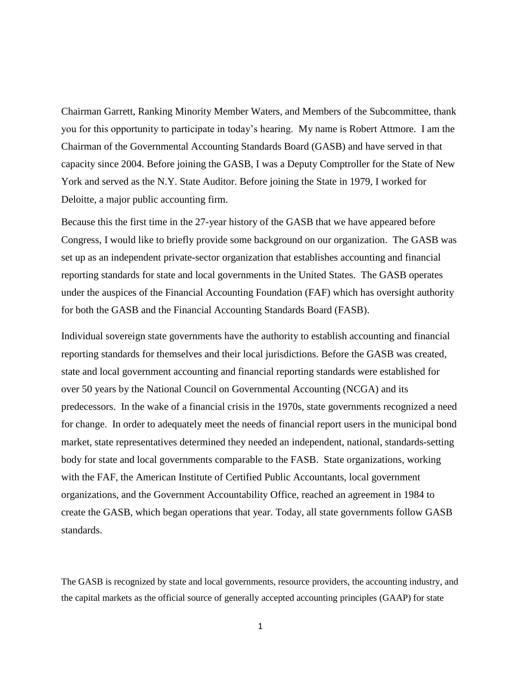Chairman Garrett, Ranking Minority Member Waters, and Members of the Subcommittee, thank you for this opportunity to participate in today's hearing. My name is Robert Attmore. I am the Chairman of the Governmental Accounting Standards Board (GASB) and have served in that capacity since 2004. Before joining the GASB, I was a Deputy Comptroller for the State of New York and served as the N.Y. State Auditor. Before joining the State in 1979, I worked for Deloitte, a major public accounting firm.

Because this the first time in the 27-year history of the GASB that we have appeared before Congress, I would like to briefly provide some background on our organization. The GASB was set up as an independent private-sector organization that establishes accounting and financial reporting standards for state and local governments in the United States. The GASB operates under the auspices of the Financial Accounting Foundation (FAF) which has oversight authority for both the GASB and the Financial Accounting Standards Board (FASB).

Individual sovereign state governments have the authority to establish accounting and financial reporting standards for themselves and their local jurisdictions. Before the GASB was created, state and local government accounting and financial reporting standards were established for over 50 years by the National Council on Governmental Accounting (NCGA) and its predecessors. In the wake of a financial crisis in the 1970s, state governments recognized a need for change. In order to adequately meet the needs of financial report users in the municipal bond market, state representatives determined they needed an independent, national, standards-setting body for state and local governments comparable to the FASB. State organizations, working with the FAF, the American Institute of Certified Public Accountants, local government organizations, and the Government Accountability Office, reached an agreement in 1984 to create the GASB, which began operations that year. Today, all state governments follow GASB standards.

The GASB is recognized by state and local governments, resource providers, the accounting industry, and the capital markets as the official source of generally accepted accounting principles (GAAP) for state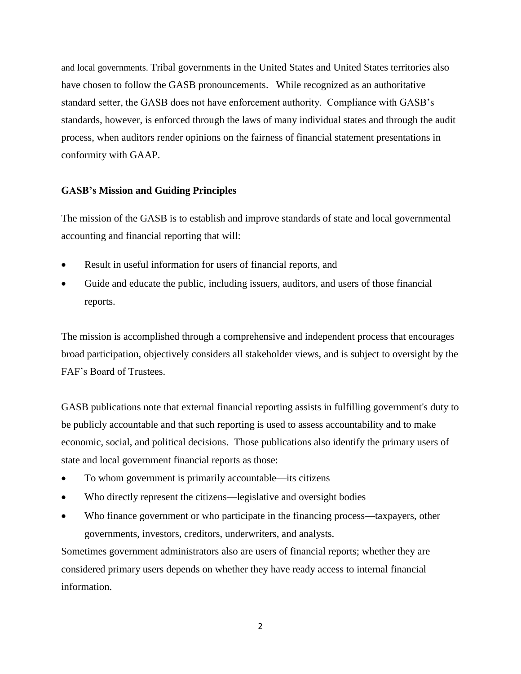and local governments. Tribal governments in the United States and United States territories also have chosen to follow the GASB pronouncements. While recognized as an authoritative standard setter, the GASB does not have enforcement authority. Compliance with GASB's standards, however, is enforced through the laws of many individual states and through the audit process, when auditors render opinions on the fairness of financial statement presentations in conformity with GAAP.

### **GASB's Mission and Guiding Principles**

The mission of the GASB is to establish and improve standards of state and local governmental accounting and financial reporting that will:

- Result in useful information for users of financial reports, and
- Guide and educate the public, including issuers, auditors, and users of those financial reports.

The mission is accomplished through a comprehensive and independent process that encourages broad participation, objectively considers all stakeholder views, and is subject to oversight by the FAF's Board of Trustees.

GASB publications note that external financial reporting assists in fulfilling government's duty to be publicly accountable and that such reporting is used to assess accountability and to make economic, social, and political decisions. Those publications also identify the primary users of state and local government financial reports as those:

- To whom government is primarily accountable—its citizens
- Who directly represent the citizens—legislative and oversight bodies
- Who finance government or who participate in the financing process—taxpayers, other governments, investors, creditors, underwriters, and analysts.

Sometimes government administrators also are users of financial reports; whether they are considered primary users depends on whether they have ready access to internal financial information.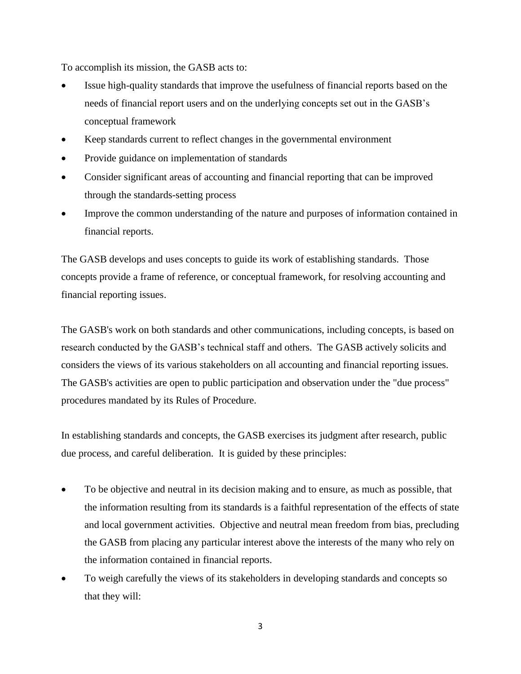To accomplish its mission, the GASB acts to:

- Issue high-quality standards that improve the usefulness of financial reports based on the needs of financial report users and on the underlying concepts set out in the GASB's conceptual framework
- Keep standards current to reflect changes in the governmental environment
- Provide guidance on implementation of standards
- Consider significant areas of accounting and financial reporting that can be improved through the standards-setting process
- Improve the common understanding of the nature and purposes of information contained in financial reports.

The GASB develops and uses concepts to guide its work of establishing standards. Those concepts provide a frame of reference, or conceptual framework, for resolving accounting and financial reporting issues.

The GASB's work on both standards and other communications, including concepts, is based on research conducted by the GASB's technical staff and others. The GASB actively solicits and considers the views of its various stakeholders on all accounting and financial reporting issues. The GASB's activities are open to public participation and observation under the "due process" procedures mandated by its Rules of Procedure.

In establishing standards and concepts, the GASB exercises its judgment after research, public due process, and careful deliberation. It is guided by these principles:

- To be objective and neutral in its decision making and to ensure, as much as possible, that the information resulting from its standards is a faithful representation of the effects of state and local government activities. Objective and neutral mean freedom from bias, precluding the GASB from placing any particular interest above the interests of the many who rely on the information contained in financial reports.
- To weigh carefully the views of its stakeholders in developing standards and concepts so that they will: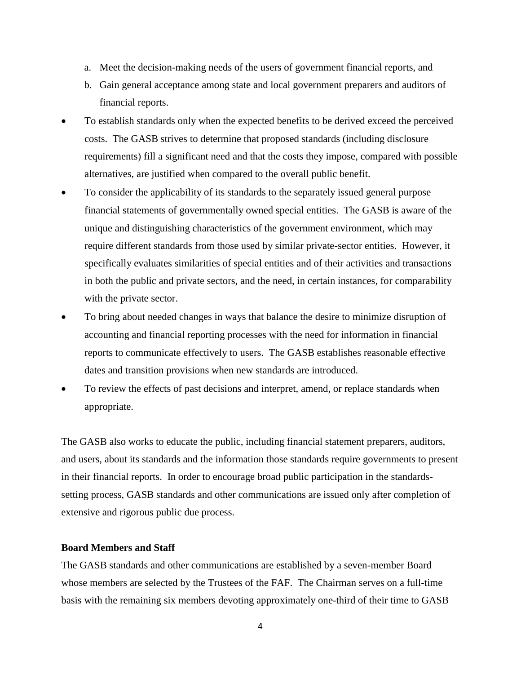- a. Meet the decision-making needs of the users of government financial reports, and
- b. Gain general acceptance among state and local government preparers and auditors of financial reports.
- To establish standards only when the expected benefits to be derived exceed the perceived costs. The GASB strives to determine that proposed standards (including disclosure requirements) fill a significant need and that the costs they impose, compared with possible alternatives, are justified when compared to the overall public benefit.
- To consider the applicability of its standards to the separately issued general purpose financial statements of governmentally owned special entities. The GASB is aware of the unique and distinguishing characteristics of the government environment, which may require different standards from those used by similar private-sector entities. However, it specifically evaluates similarities of special entities and of their activities and transactions in both the public and private sectors, and the need, in certain instances, for comparability with the private sector.
- To bring about needed changes in ways that balance the desire to minimize disruption of accounting and financial reporting processes with the need for information in financial reports to communicate effectively to users. The GASB establishes reasonable effective dates and transition provisions when new standards are introduced.
- To review the effects of past decisions and interpret, amend, or replace standards when appropriate.

The GASB also works to educate the public, including financial statement preparers, auditors, and users, about its standards and the information those standards require governments to present in their financial reports. In order to encourage broad public participation in the standardssetting process, GASB standards and other communications are issued only after completion of extensive and rigorous public due process.

#### **Board Members and Staff**

The GASB standards and other communications are established by a seven-member Board whose members are selected by the Trustees of the FAF. The Chairman serves on a full-time basis with the remaining six members devoting approximately one-third of their time to GASB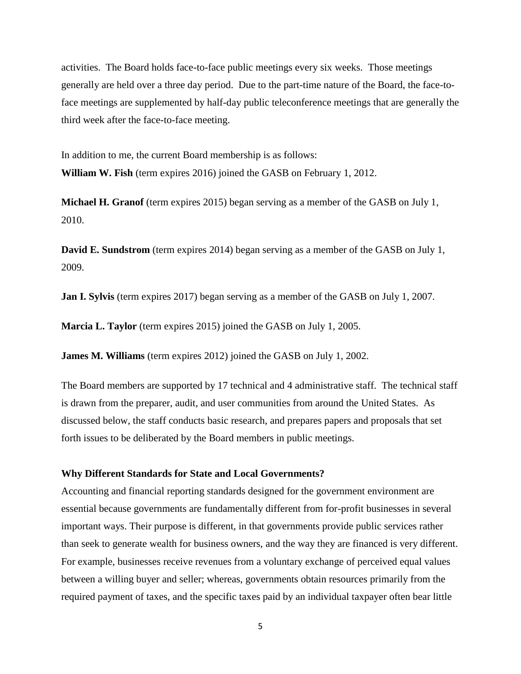activities. The Board holds face-to-face public meetings every six weeks. Those meetings generally are held over a three day period. Due to the part-time nature of the Board, the face-toface meetings are supplemented by half-day public teleconference meetings that are generally the third week after the face-to-face meeting.

In addition to me, the current Board membership is as follows: **William W. Fish** (term expires 2016) joined the GASB on February 1, 2012.

**Michael H. Granof** (term expires 2015) began serving as a member of the GASB on July 1, 2010.

**David E. Sundstrom** (term expires 2014) began serving as a member of the GASB on July 1, 2009.

**Jan I. Sylvis** (term expires 2017) began serving as a member of the GASB on July 1, 2007.

**Marcia L. Taylor** (term expires 2015) joined the GASB on July 1, 2005.

**James M. Williams** (term expires 2012) joined the GASB on July 1, 2002.

The Board members are supported by 17 technical and 4 administrative staff. The technical staff is drawn from the preparer, audit, and user communities from around the United States. As discussed below, the staff conducts basic research, and prepares papers and proposals that set forth issues to be deliberated by the Board members in public meetings.

#### **Why Different Standards for State and Local Governments?**

Accounting and financial reporting standards designed for the government environment are essential because governments are fundamentally different from for-profit businesses in several important ways. Their purpose is different, in that governments provide public services rather than seek to generate wealth for business owners, and the way they are financed is very different. For example, businesses receive revenues from a voluntary exchange of perceived equal values between a willing buyer and seller; whereas, governments obtain resources primarily from the required payment of taxes, and the specific taxes paid by an individual taxpayer often bear little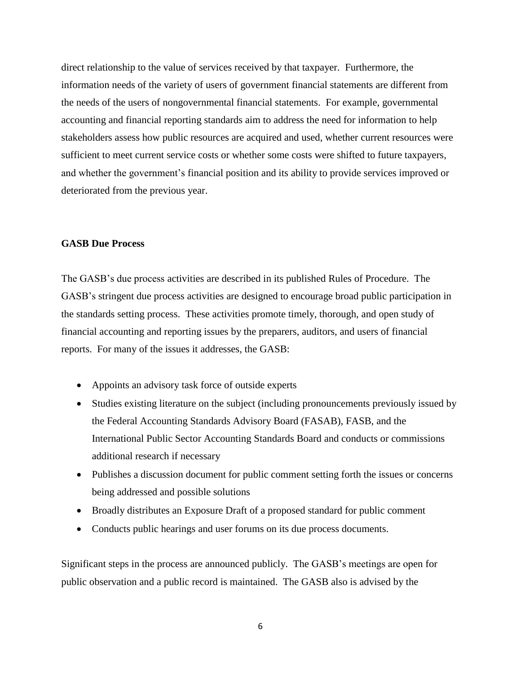direct relationship to the value of services received by that taxpayer. Furthermore, the information needs of the variety of users of government financial statements are different from the needs of the users of nongovernmental financial statements. For example, governmental accounting and financial reporting standards aim to address the need for information to help stakeholders assess how public resources are acquired and used, whether current resources were sufficient to meet current service costs or whether some costs were shifted to future taxpayers, and whether the government's financial position and its ability to provide services improved or deteriorated from the previous year.

#### **GASB Due Process**

The GASB's due process activities are described in its published Rules of Procedure. The GASB's stringent due process activities are designed to encourage broad public participation in the standards setting process. These activities promote timely, thorough, and open study of financial accounting and reporting issues by the preparers, auditors, and users of financial reports. For many of the issues it addresses, the GASB:

- Appoints an advisory task force of outside experts
- Studies existing literature on the subject (including pronouncements previously issued by the Federal Accounting Standards Advisory Board (FASAB), FASB, and the International Public Sector Accounting Standards Board and conducts or commissions additional research if necessary
- Publishes a discussion document for public comment setting forth the issues or concerns being addressed and possible solutions
- Broadly distributes an Exposure Draft of a proposed standard for public comment
- Conducts public hearings and user forums on its due process documents.

Significant steps in the process are announced publicly. The GASB's meetings are open for public observation and a public record is maintained. The GASB also is advised by the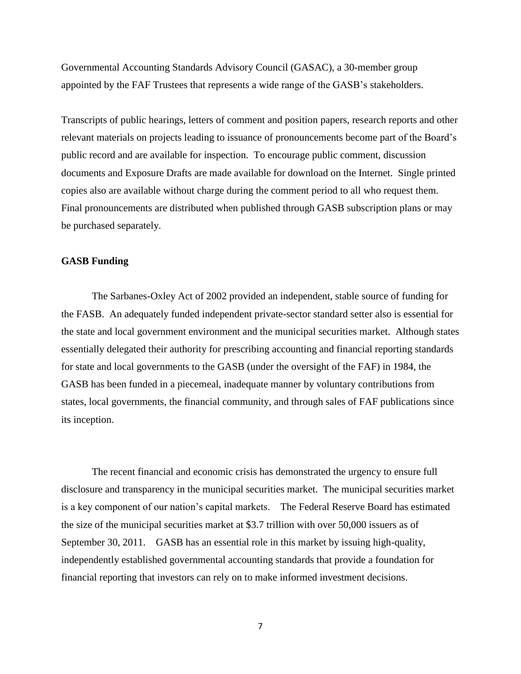Governmental Accounting Standards Advisory Council (GASAC), a 30-member group appointed by the FAF Trustees that represents a wide range of the GASB's stakeholders.

Transcripts of public hearings, letters of comment and position papers, research reports and other relevant materials on projects leading to issuance of pronouncements become part of the Board's public record and are available for inspection. To encourage public comment, discussion documents and Exposure Drafts are made available for download on the Internet. Single printed copies also are available without charge during the comment period to all who request them. Final pronouncements are distributed when published through GASB subscription plans or may be purchased separately.

#### **GASB Funding**

The Sarbanes-Oxley Act of 2002 provided an independent, stable source of funding for the FASB. An adequately funded independent private-sector standard setter also is essential for the state and local government environment and the municipal securities market. Although states essentially delegated their authority for prescribing accounting and financial reporting standards for state and local governments to the GASB (under the oversight of the FAF) in 1984, the GASB has been funded in a piecemeal, inadequate manner by voluntary contributions from states, local governments, the financial community, and through sales of FAF publications since its inception.

The recent financial and economic crisis has demonstrated the urgency to ensure full disclosure and transparency in the municipal securities market. The municipal securities market is a key component of our nation's capital markets. The Federal Reserve Board has estimated the size of the municipal securities market at \$3.7 trillion with over 50,000 issuers as of September 30, 2011. GASB has an essential role in this market by issuing high-quality, independently established governmental accounting standards that provide a foundation for financial reporting that investors can rely on to make informed investment decisions.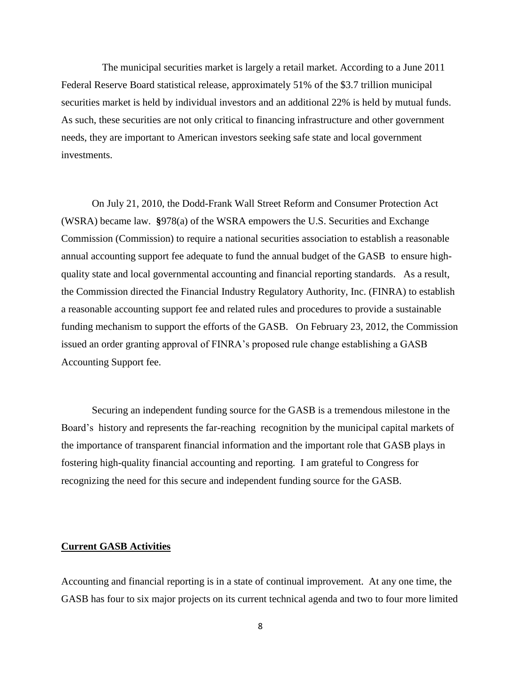The municipal securities market is largely a retail market. According to a June 2011 Federal Reserve Board statistical release, approximately 51% of the \$3.7 trillion municipal securities market is held by individual investors and an additional 22% is held by mutual funds. As such, these securities are not only critical to financing infrastructure and other government needs, they are important to American investors seeking safe state and local government investments.

On July 21, 2010, the Dodd-Frank Wall Street Reform and Consumer Protection Act (WSRA) became law. **§**978(a) of the WSRA empowers the U.S. Securities and Exchange Commission (Commission) to require a national securities association to establish a reasonable annual accounting support fee adequate to fund the annual budget of the GASB to ensure highquality state and local governmental accounting and financial reporting standards. As a result, the Commission directed the Financial Industry Regulatory Authority, Inc. (FINRA) to establish a reasonable accounting support fee and related rules and procedures to provide a sustainable funding mechanism to support the efforts of the GASB. On February 23, 2012, the Commission issued an order granting approval of FINRA's proposed rule change establishing a GASB Accounting Support fee.

Securing an independent funding source for the GASB is a tremendous milestone in the Board's history and represents the far-reaching recognition by the municipal capital markets of the importance of transparent financial information and the important role that GASB plays in fostering high-quality financial accounting and reporting. I am grateful to Congress for recognizing the need for this secure and independent funding source for the GASB.

#### **Current GASB Activities**

Accounting and financial reporting is in a state of continual improvement. At any one time, the GASB has four to six major projects on its current technical agenda and two to four more limited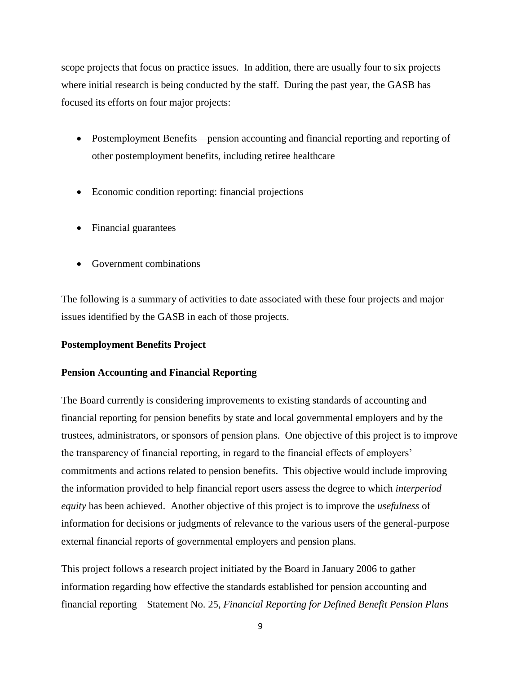scope projects that focus on practice issues. In addition, there are usually four to six projects where initial research is being conducted by the staff. During the past year, the GASB has focused its efforts on four major projects:

- Postemployment Benefits—pension accounting and financial reporting and reporting of other postemployment benefits, including retiree healthcare
- Economic condition reporting: financial projections
- Financial guarantees
- Government combinations

The following is a summary of activities to date associated with these four projects and major issues identified by the GASB in each of those projects.

### **Postemployment Benefits Project**

### **Pension Accounting and Financial Reporting**

The Board currently is considering improvements to existing standards of accounting and financial reporting for pension benefits by state and local governmental employers and by the trustees, administrators, or sponsors of pension plans. One objective of this project is to improve the transparency of financial reporting, in regard to the financial effects of employers' commitments and actions related to pension benefits. This objective would include improving the information provided to help financial report users assess the degree to which *interperiod equity* has been achieved. Another objective of this project is to improve the *usefulness* of information for decisions or judgments of relevance to the various users of the general-purpose external financial reports of governmental employers and pension plans.

This project follows a research project initiated by the Board in January 2006 to gather information regarding how effective the standards established for pension accounting and financial reporting—Statement No. 25, *Financial Reporting for Defined Benefit Pension Plans*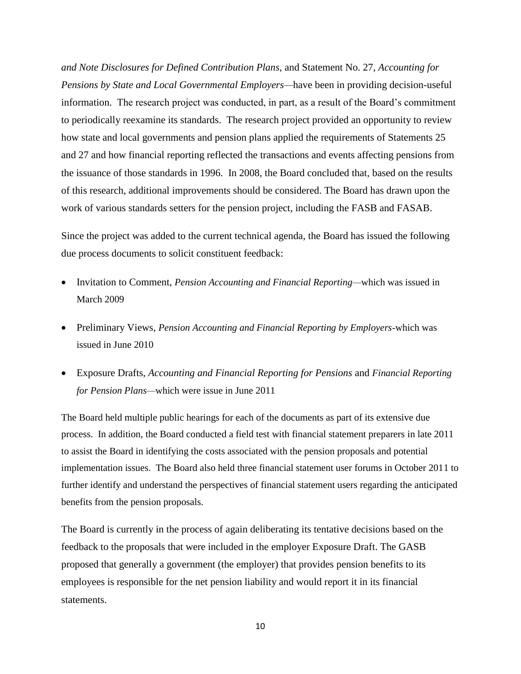*and Note Disclosures for Defined Contribution Plans,* and Statement No. 27, *Accounting for Pensions by State and Local Governmental Employers—*have been in providing decision-useful information. The research project was conducted, in part, as a result of the Board's commitment to periodically reexamine its standards. The research project provided an opportunity to review how state and local governments and pension plans applied the requirements of Statements 25 and 27 and how financial reporting reflected the transactions and events affecting pensions from the issuance of those standards in 1996. In 2008, the Board concluded that, based on the results of this research, additional improvements should be considered. The Board has drawn upon the work of various standards setters for the pension project, including the FASB and FASAB.

Since the project was added to the current technical agenda, the Board has issued the following due process documents to solicit constituent feedback:

- Invitation to Comment, *Pension Accounting and Financial Reporting—*which was issued in March 2009
- Preliminary Views, *Pension Accounting and Financial Reporting by Employers-*which was issued in June 2010
- Exposure Drafts, *Accounting and Financial Reporting for Pensions* and *Financial Reporting for Pension Plans—*which were issue in June 2011

The Board held multiple public hearings for each of the documents as part of its extensive due process. In addition, the Board conducted a field test with financial statement preparers in late 2011 to assist the Board in identifying the costs associated with the pension proposals and potential implementation issues. The Board also held three financial statement user forums in October 2011 to further identify and understand the perspectives of financial statement users regarding the anticipated benefits from the pension proposals.

The Board is currently in the process of again deliberating its tentative decisions based on the feedback to the proposals that were included in the employer Exposure Draft. The GASB proposed that generally a government (the employer) that provides pension benefits to its employees is responsible for the net pension liability and would report it in its financial statements.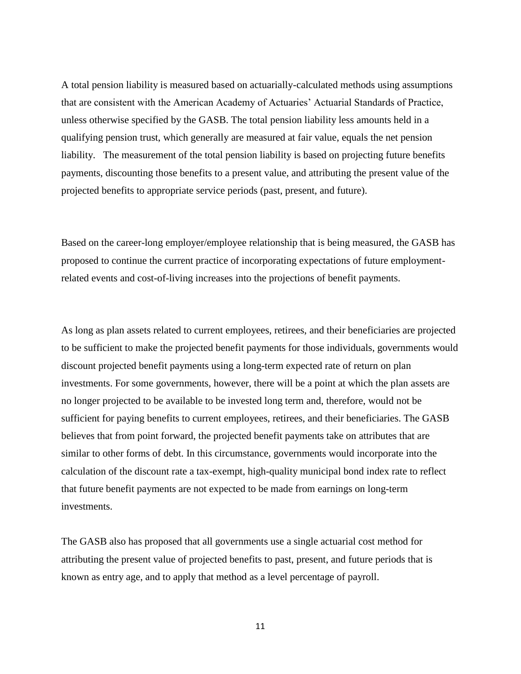A total pension liability is measured based on actuarially-calculated methods using assumptions that are consistent with the American Academy of Actuaries' Actuarial Standards of Practice, unless otherwise specified by the GASB. The total pension liability less amounts held in a qualifying pension trust, which generally are measured at fair value, equals the net pension liability. The measurement of the total pension liability is based on projecting future benefits payments, discounting those benefits to a present value, and attributing the present value of the projected benefits to appropriate service periods (past, present, and future).

Based on the career-long employer/employee relationship that is being measured, the GASB has proposed to continue the current practice of incorporating expectations of future employmentrelated events and cost-of-living increases into the projections of benefit payments.

As long as plan assets related to current employees, retirees, and their beneficiaries are projected to be sufficient to make the projected benefit payments for those individuals, governments would discount projected benefit payments using a long-term expected rate of return on plan investments. For some governments, however, there will be a point at which the plan assets are no longer projected to be available to be invested long term and, therefore, would not be sufficient for paying benefits to current employees, retirees, and their beneficiaries. The GASB believes that from point forward, the projected benefit payments take on attributes that are similar to other forms of debt. In this circumstance, governments would incorporate into the calculation of the discount rate a tax-exempt, high-quality municipal bond index rate to reflect that future benefit payments are not expected to be made from earnings on long-term investments.

The GASB also has proposed that all governments use a single actuarial cost method for attributing the present value of projected benefits to past, present, and future periods that is known as entry age, and to apply that method as a level percentage of payroll.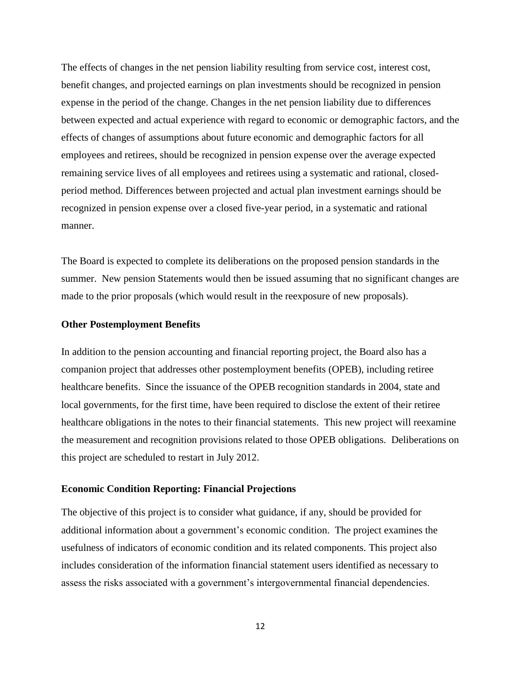The effects of changes in the net pension liability resulting from service cost, interest cost, benefit changes, and projected earnings on plan investments should be recognized in pension expense in the period of the change. Changes in the net pension liability due to differences between expected and actual experience with regard to economic or demographic factors, and the effects of changes of assumptions about future economic and demographic factors for all employees and retirees, should be recognized in pension expense over the average expected remaining service lives of all employees and retirees using a systematic and rational, closedperiod method. Differences between projected and actual plan investment earnings should be recognized in pension expense over a closed five-year period, in a systematic and rational manner.

The Board is expected to complete its deliberations on the proposed pension standards in the summer. New pension Statements would then be issued assuming that no significant changes are made to the prior proposals (which would result in the reexposure of new proposals).

#### **Other Postemployment Benefits**

In addition to the pension accounting and financial reporting project, the Board also has a companion project that addresses other postemployment benefits (OPEB), including retiree healthcare benefits. Since the issuance of the OPEB recognition standards in 2004, state and local governments, for the first time, have been required to disclose the extent of their retiree healthcare obligations in the notes to their financial statements. This new project will reexamine the measurement and recognition provisions related to those OPEB obligations. Deliberations on this project are scheduled to restart in July 2012.

#### **Economic Condition Reporting: Financial Projections**

The objective of this project is to consider what guidance, if any, should be provided for additional information about a government's economic condition. The project examines the usefulness of indicators of economic condition and its related components. This project also includes consideration of the information financial statement users identified as necessary to assess the risks associated with a government's intergovernmental financial dependencies.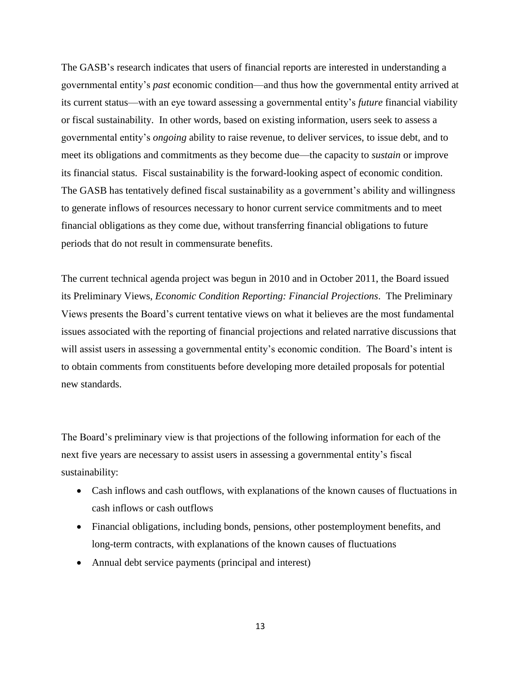The GASB's research indicates that users of financial reports are interested in understanding a governmental entity's *past* economic condition—and thus how the governmental entity arrived at its current status—with an eye toward assessing a governmental entity's *future* financial viability or fiscal sustainability. In other words, based on existing information, users seek to assess a governmental entity's *ongoing* ability to raise revenue, to deliver services, to issue debt, and to meet its obligations and commitments as they become due—the capacity to *sustain* or improve its financial status. Fiscal sustainability is the forward-looking aspect of economic condition. The GASB has tentatively defined fiscal sustainability as a government's ability and willingness to generate inflows of resources necessary to honor current service commitments and to meet financial obligations as they come due, without transferring financial obligations to future periods that do not result in commensurate benefits.

The current technical agenda project was begun in 2010 and in October 2011, the Board issued its Preliminary Views, *Economic Condition Reporting: Financial Projections*. The Preliminary Views presents the Board's current tentative views on what it believes are the most fundamental issues associated with the reporting of financial projections and related narrative discussions that will assist users in assessing a governmental entity's economic condition. The Board's intent is to obtain comments from constituents before developing more detailed proposals for potential new standards.

The Board's preliminary view is that projections of the following information for each of the next five years are necessary to assist users in assessing a governmental entity's fiscal sustainability:

- Cash inflows and cash outflows, with explanations of the known causes of fluctuations in cash inflows or cash outflows
- Financial obligations, including bonds, pensions, other postemployment benefits, and long-term contracts, with explanations of the known causes of fluctuations
- Annual debt service payments (principal and interest)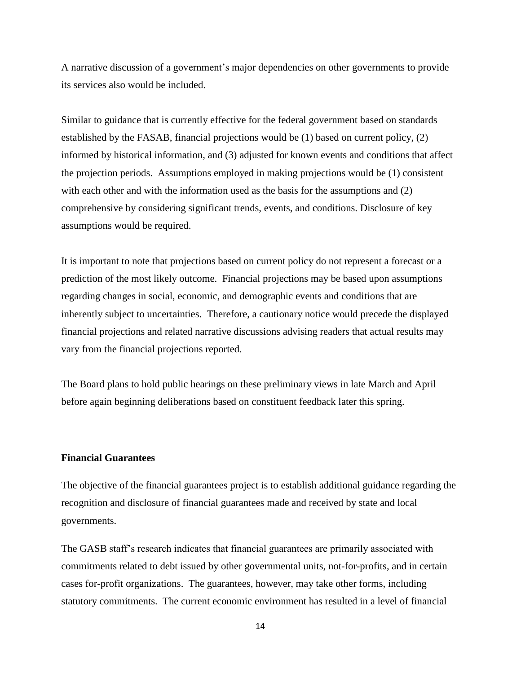A narrative discussion of a government's major dependencies on other governments to provide its services also would be included.

Similar to guidance that is currently effective for the federal government based on standards established by the FASAB, financial projections would be (1) based on current policy, (2) informed by historical information, and (3) adjusted for known events and conditions that affect the projection periods. Assumptions employed in making projections would be (1) consistent with each other and with the information used as the basis for the assumptions and (2) comprehensive by considering significant trends, events, and conditions. Disclosure of key assumptions would be required.

It is important to note that projections based on current policy do not represent a forecast or a prediction of the most likely outcome. Financial projections may be based upon assumptions regarding changes in social, economic, and demographic events and conditions that are inherently subject to uncertainties. Therefore, a cautionary notice would precede the displayed financial projections and related narrative discussions advising readers that actual results may vary from the financial projections reported.

The Board plans to hold public hearings on these preliminary views in late March and April before again beginning deliberations based on constituent feedback later this spring.

#### **Financial Guarantees**

The objective of the financial guarantees project is to establish additional guidance regarding the recognition and disclosure of financial guarantees made and received by state and local governments.

The GASB staff's research indicates that financial guarantees are primarily associated with commitments related to debt issued by other governmental units, not-for-profits, and in certain cases for-profit organizations. The guarantees, however, may take other forms, including statutory commitments. The current economic environment has resulted in a level of financial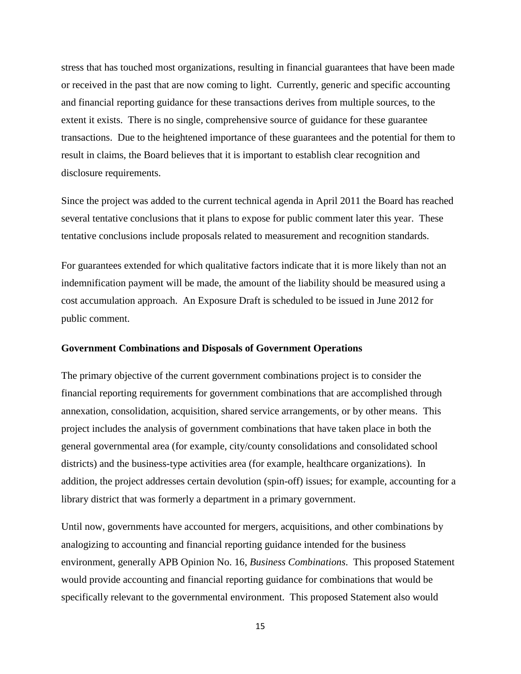stress that has touched most organizations, resulting in financial guarantees that have been made or received in the past that are now coming to light. Currently, generic and specific accounting and financial reporting guidance for these transactions derives from multiple sources, to the extent it exists. There is no single, comprehensive source of guidance for these guarantee transactions. Due to the heightened importance of these guarantees and the potential for them to result in claims, the Board believes that it is important to establish clear recognition and disclosure requirements.

Since the project was added to the current technical agenda in April 2011 the Board has reached several tentative conclusions that it plans to expose for public comment later this year. These tentative conclusions include proposals related to measurement and recognition standards.

For guarantees extended for which qualitative factors indicate that it is more likely than not an indemnification payment will be made, the amount of the liability should be measured using a cost accumulation approach. An Exposure Draft is scheduled to be issued in June 2012 for public comment.

#### **Government Combinations and Disposals of Government Operations**

The primary objective of the current government combinations project is to consider the financial reporting requirements for government combinations that are accomplished through annexation, consolidation, acquisition, shared service arrangements, or by other means. This project includes the analysis of government combinations that have taken place in both the general governmental area (for example, city/county consolidations and consolidated school districts) and the business-type activities area (for example, healthcare organizations). In addition, the project addresses certain devolution (spin-off) issues; for example, accounting for a library district that was formerly a department in a primary government.

Until now, governments have accounted for mergers, acquisitions, and other combinations by analogizing to accounting and financial reporting guidance intended for the business environment, generally APB Opinion No. 16, *Business Combinations*. This proposed Statement would provide accounting and financial reporting guidance for combinations that would be specifically relevant to the governmental environment. This proposed Statement also would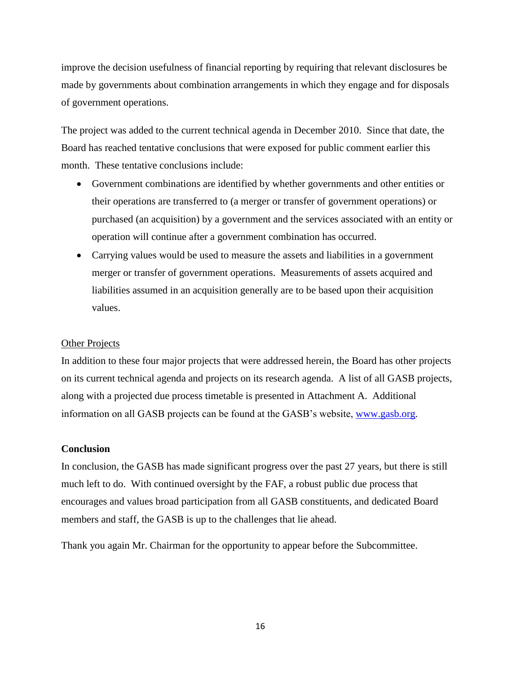improve the decision usefulness of financial reporting by requiring that relevant disclosures be made by governments about combination arrangements in which they engage and for disposals of government operations.

The project was added to the current technical agenda in December 2010. Since that date, the Board has reached tentative conclusions that were exposed for public comment earlier this month. These tentative conclusions include:

- Government combinations are identified by whether governments and other entities or their operations are transferred to (a merger or transfer of government operations) or purchased (an acquisition) by a government and the services associated with an entity or operation will continue after a government combination has occurred.
- Carrying values would be used to measure the assets and liabilities in a government merger or transfer of government operations. Measurements of assets acquired and liabilities assumed in an acquisition generally are to be based upon their acquisition values.

#### Other Projects

In addition to these four major projects that were addressed herein, the Board has other projects on its current technical agenda and projects on its research agenda. A list of all GASB projects, along with a projected due process timetable is presented in Attachment A. Additional information on all GASB projects can be found at the GASB's website, [www.gasb.org.](http://www.gasb.org/)

#### **Conclusion**

In conclusion, the GASB has made significant progress over the past 27 years, but there is still much left to do. With continued oversight by the FAF, a robust public due process that encourages and values broad participation from all GASB constituents, and dedicated Board members and staff, the GASB is up to the challenges that lie ahead.

Thank you again Mr. Chairman for the opportunity to appear before the Subcommittee.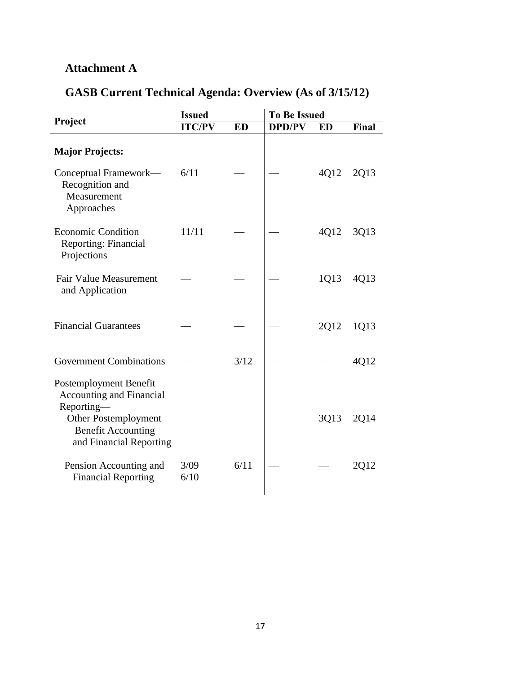## **Attachment A**

## **GASB Current Technical Agenda: Overview (As of 3/15/12)**

| <b>Issued</b> |           | <b>To Be Issued</b> |           |       |
|---------------|-----------|---------------------|-----------|-------|
| <b>ITC/PV</b> | <b>ED</b> | <b>DPD/PV</b>       | <b>ED</b> | Final |
|               |           |                     |           |       |
| 6/11          |           |                     | 4Q12      | 2Q13  |
| 11/11         |           |                     | 4Q12      | 3Q13  |
|               |           |                     | 1Q13      | 4Q13  |
|               |           |                     | 2Q12      | 1Q13  |
|               | 3/12      |                     |           | 4Q12  |
|               |           |                     | 3Q13      | 2Q14  |
| 3/09<br>6/10  | 6/11      |                     |           | 2Q12  |
|               |           |                     |           |       |